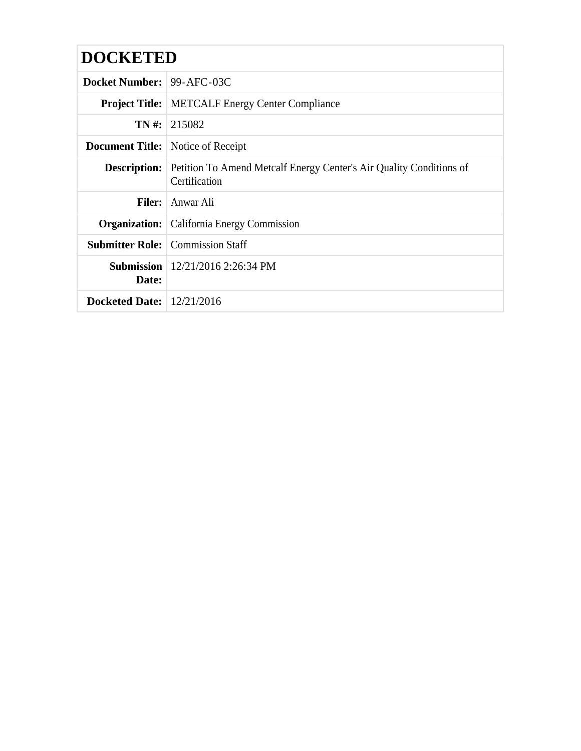| <b>DOCKETED</b>                    |                                                                                                          |
|------------------------------------|----------------------------------------------------------------------------------------------------------|
| <b>Docket Number: 99-AFC-03C</b>   |                                                                                                          |
|                                    | <b>Project Title:</b> METCALF Energy Center Compliance                                                   |
|                                    | $TN \#: 215082$                                                                                          |
|                                    | <b>Document Title:</b> Notice of Receipt                                                                 |
|                                    | <b>Description:</b> Petition To Amend Metcalf Energy Center's Air Quality Conditions of<br>Certification |
| Filer:                             | Anwar Ali                                                                                                |
|                                    | <b>Organization:</b> California Energy Commission                                                        |
|                                    | <b>Submitter Role:</b> Commission Staff                                                                  |
| Date:                              | <b>Submission</b>   $12/21/2016$ 2:26:34 PM                                                              |
| <b>Docketed Date:</b> $12/21/2016$ |                                                                                                          |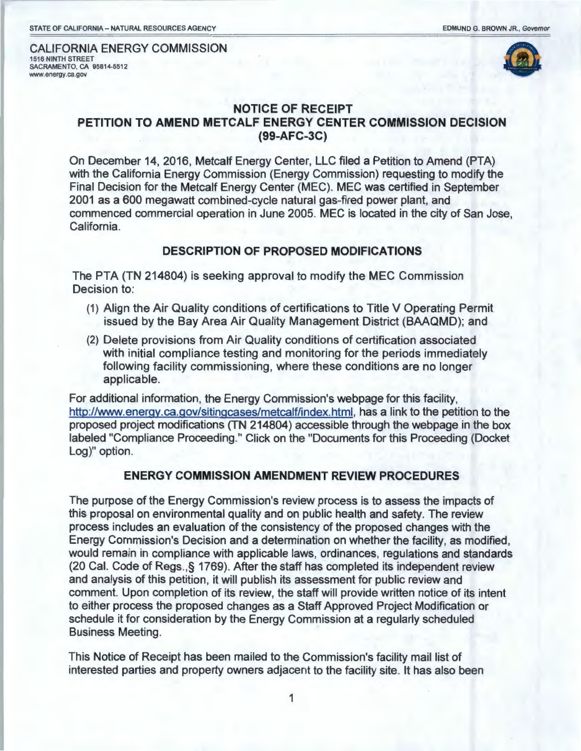CALIFORNIA ENERGY COMMISSION 1516 NINTH STREET SACRAMENTO, CA 95814-5512 www.energy.ca.gov



## **NOTICE OF RECEIPT PETITION TO AMEND METCALF ENERGY CENTER COMMISSION DECISION (99-AFC-3C)**

On December 14, 2016, Metcalf Energy Center, LLC filed a Petition to Amend (PTA) with the California Energy Commission (Energy Commission) requesting to modify the Final Decision for the Metcalf Energy Center (MEC). MEC was certified in September 2001 as a 600 megawatt combined-cycle natural gas-fired power plant, and commenced commercial operation in June 2005. MEC is located in the city of San Jose, California.

## **DESCRIPTION OF PROPOSED MODIFICATIONS**

The PTA (TN 214804) is seeking approval to modify the MEC Commission Decision to:

- (1) Align the Air Quality conditions of certifications to Title V Operating Permit issued by the Bay Area Air Quality Management District (BAAQMD); and
- (2) Delete provisions from Air Quality conditions of certification associated with initial compliance testing and monitoring for the periods immediately following facility commissioning, where these conditions are no longer applicable.

For additional information, the Energy Commission's webpage for this facility, http://www.energy.ca.gov/sitingcases/metcalf/index.html, has a link to the petition to the proposed project modifications (TN 214804) accessible through the webpage in the box labeled "Compliance Proceeding." Click on the "Documents for this Proceeding (Docket Log)" option.

## **ENERGY COMMISSION AMENDMENT REVIEW PROCEDURES**

The purpose of the Energy Commission's review process is to assess the impacts of this proposal on environmental quality and on public health and safety. The review process includes an evaluation of the consistency of the proposed changes with the Energy Commission's Decision and a determination on whether the facility, as modified, would remain in compliance with applicable laws, ordinances, regulations and standards (20 Cal. Code of Regs.,§ 1769). After the staff has completed its independent review and analysis of this petition, it will publish its assessment for public review and comment. Upon completion of its review, the staff will provide written notice of its intent to either process the proposed changes as a Staff Approved Project Modification or schedule it for consideration by the Energy Commission at a regularly scheduled Business Meeting.

This Notice of Receipt has been mailed to the Commission's facility mail list of interested parties and property owners adjacent to the facility site. It has also been